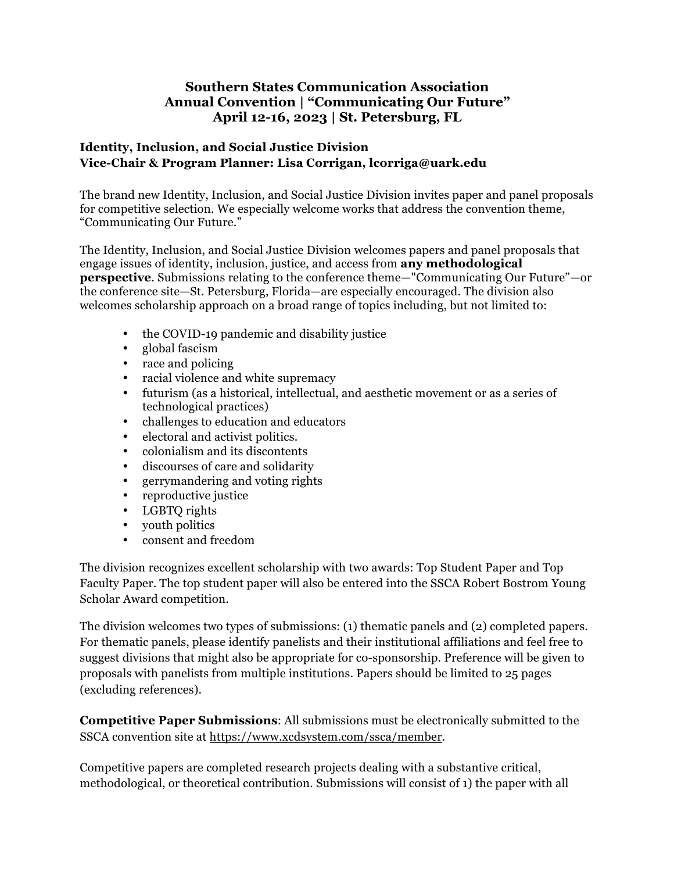## **Southern States Communication Association Annual Convention | "Communicating Our Future" April 12-16, 2023 | St. Petersburg, FL**

## **Identity, Inclusion, and Social Justice Division Vice-Chair & Program Planner: Lisa Corrigan, lcorriga@uark.edu**

The brand new Identity, Inclusion, and Social Justice Division invites paper and panel proposals for competitive selection. We especially welcome works that address the convention theme, "Communicating Our Future."

The Identity, Inclusion, and Social Justice Division welcomes papers and panel proposals that engage issues of identity, inclusion, justice, and access from **any methodological perspective**. Submissions relating to the conference theme—"Communicating Our Future"—or the conference site—St. Petersburg, Florida—are especially encouraged. The division also welcomes scholarship approach on a broad range of topics including, but not limited to:

- the COVID-19 pandemic and disability justice
- global fascism
- race and policing
- racial violence and white supremacy
- futurism (as a historical, intellectual, and aesthetic movement or as a series of technological practices)
- challenges to education and educators
- electoral and activist politics.
- colonialism and its discontents
- discourses of care and solidarity
- gerrymandering and voting rights<br>• reproductive iustice
- reproductive justice
- LGBTQ rights
- vouth politics
- consent and freedom

The division recognizes excellent scholarship with two awards: Top Student Paper and Top Faculty Paper. The top student paper will also be entered into the SSCA Robert Bostrom Young Scholar Award competition.

The division welcomes two types of submissions: (1) thematic panels and (2) completed papers. For thematic panels, please identify panelists and their institutional affiliations and feel free to suggest divisions that might also be appropriate for co-sponsorship. Preference will be given to proposals with panelists from multiple institutions. Papers should be limited to 25 pages (excluding references).

**Competitive Paper Submissions**: All submissions must be electronically submitted to the SSCA convention site at https://www.xcdsystem.com/ssca/member.

Competitive papers are completed research projects dealing with a substantive critical, methodological, or theoretical contribution. Submissions will consist of 1) the paper with all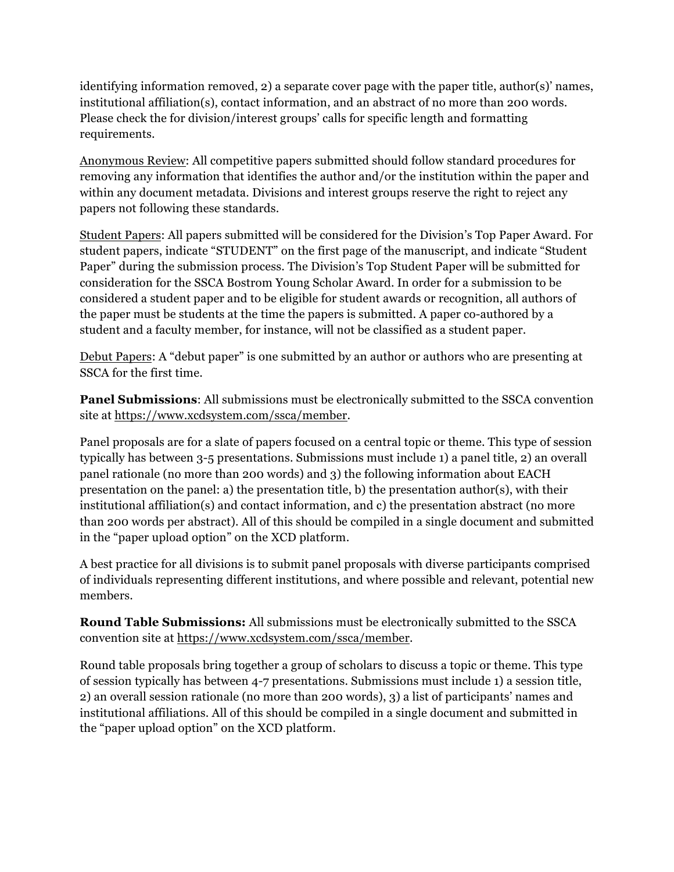identifying information removed, 2) a separate cover page with the paper title, author(s)' names, institutional affiliation(s), contact information, and an abstract of no more than 200 words. Please check the for division/interest groups' calls for specific length and formatting requirements.

Anonymous Review: All competitive papers submitted should follow standard procedures for removing any information that identifies the author and/or the institution within the paper and within any document metadata. Divisions and interest groups reserve the right to reject any papers not following these standards.

Student Papers: All papers submitted will be considered for the Division's Top Paper Award. For student papers, indicate "STUDENT" on the first page of the manuscript, and indicate "Student Paper" during the submission process. The Division's Top Student Paper will be submitted for consideration for the SSCA Bostrom Young Scholar Award. In order for a submission to be considered a student paper and to be eligible for student awards or recognition, all authors of the paper must be students at the time the papers is submitted. A paper co-authored by a student and a faculty member, for instance, will not be classified as a student paper.

Debut Papers: A "debut paper" is one submitted by an author or authors who are presenting at SSCA for the first time.

**Panel Submissions**: All submissions must be electronically submitted to the SSCA convention site at https://www.xcdsystem.com/ssca/member.

Panel proposals are for a slate of papers focused on a central topic or theme. This type of session typically has between 3-5 presentations. Submissions must include 1) a panel title, 2) an overall panel rationale (no more than 200 words) and 3) the following information about EACH presentation on the panel: a) the presentation title, b) the presentation author(s), with their institutional affiliation(s) and contact information, and c) the presentation abstract (no more than 200 words per abstract). All of this should be compiled in a single document and submitted in the "paper upload option" on the XCD platform.

A best practice for all divisions is to submit panel proposals with diverse participants comprised of individuals representing different institutions, and where possible and relevant, potential new members.

**Round Table Submissions:** All submissions must be electronically submitted to the SSCA convention site at https://www.xcdsystem.com/ssca/member.

Round table proposals bring together a group of scholars to discuss a topic or theme. This type of session typically has between 4-7 presentations. Submissions must include 1) a session title, 2) an overall session rationale (no more than 200 words), 3) a list of participants' names and institutional affiliations. All of this should be compiled in a single document and submitted in the "paper upload option" on the XCD platform.